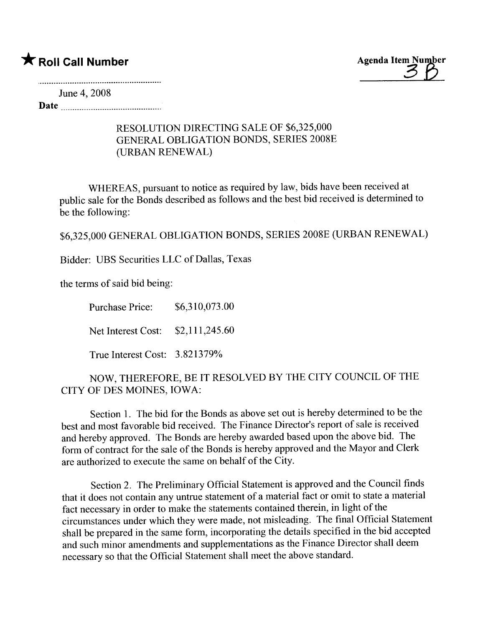## $\bigstar$  Roll Call Number  $\bigstar$  Roll Call Number



June 4, 2008

Date

## RESOLUTION DIRECTING SALE OF \$6,325,000 GENERAL OBLIGATION BONDS, SERIES 2008E (URBAN RENEWAL)

WHEREAS, pursuant to notice as required by law, bids have been received at public sale for the Bonds described as follows and the best bid received is determined to be the following:

\$6,325,000 GENERAL OBLIGATION BONDS, SERIES 2008E (URBAN RENEWAL)

Bidder: UBS Securities LLC of Dallas, Texas

the terms of said bid being:

Purchase Price: \$6,310,073.00 Net Interest Cost: \$2,111,245.60 True Interest Cost: 3.821379%

NOW, THEREFORE, BE IT RESOLVED BY THE CITY COUNCIL OF THE CITY OF DES MOINES, IOWA:

Section 1. The bid for the Bonds as above set out is hereby determined to be the best and most favorable bid received. The Finance Director's report of sale is received and hereby approved. The Bonds are hereby awarded based upon the above bid. The form of contract for the sale of the Bonds is hereby approved and the Mayor and Clerk are authorized to execute the same on behalf of the City.

Section 2. The Preliminary Official Statement is approved and the Council finds that it does not contain any untrue statement of a material fact or omit to state a material fact necessary in order to make the statements contained therein, in light of the circumstances under which they were made, not misleading. The final Official Statement shall be prepared in the same form, incorporating the details specified in the bid accepted and such minor amendments and supplementations as the Finance Director shall deem necessary so that the Official Statement shall meet the above standard.